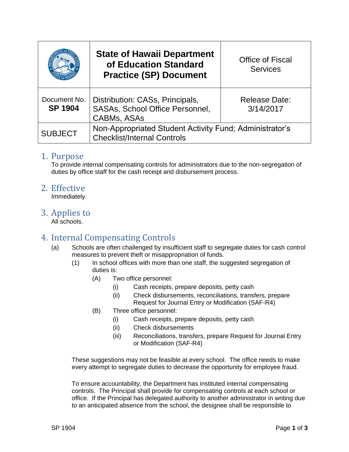|                                | <b>State of Hawaii Department</b><br>of Education Standard<br><b>Practice (SP) Document</b>   | <b>Office of Fiscal</b><br><b>Services</b> |
|--------------------------------|-----------------------------------------------------------------------------------------------|--------------------------------------------|
| Document No.<br><b>SP 1904</b> | Distribution: CASs, Principals,<br>SASAs, School Office Personnel,<br><b>CABMs, ASAs</b>      | <b>Release Date:</b><br>3/14/2017          |
| <b>SUBJECT</b>                 | Non-Appropriated Student Activity Fund; Administrator's<br><b>Checklist/Internal Controls</b> |                                            |

#### 1. Purpose

To provide internal compensating controls for administrators due to the non-segregation of duties by office staff for the cash receipt and disbursement process.

### 2. Effective

Immediately.

## 3. Applies to

All schools.

# 4. Internal Compensating Controls

- (a) Schools are often challenged by insufficient staff to segregate duties for cash control measures to prevent theft or misappropriation of funds.
	- (1) In school offices with more than one staff, the suggested segregation of duties is:
		- (A) Two office personnel:
			- (i) Cash receipts, prepare deposits, petty cash
			- (ii) Check disbursements, reconciliations, transfers, prepare Request for Journal Entry or Modification (SAF-R4)
		- (B) Three office personnel:
			- (i) Cash receipts, prepare deposits, petty cash
			- (ii) Check disbursements
			- (iii) Reconciliations, transfers, prepare [Request for Journal Entry](https://intranet.hawaiipublicschools.org/offices/ofs/saf/Forms/REQUEST%20FOR%20JOURNAL%20ENTRY%20OR%20MODIFICATION.pdf)  [or Modification](https://intranet.hawaiipublicschools.org/offices/ofs/saf/Forms/REQUEST%20FOR%20JOURNAL%20ENTRY%20OR%20MODIFICATION.pdf) (SAF-R4)

These suggestions may not be feasible at every school. The office needs to make every attempt to segregate duties to decrease the opportunity for employee fraud.

To ensure accountability, the Department has instituted internal compensating controls. The Principal shall provide for compensating controls at each school or office. If the Principal has delegated authority to another administrator in writing due to an anticipated absence from the school, the designee shall be responsible to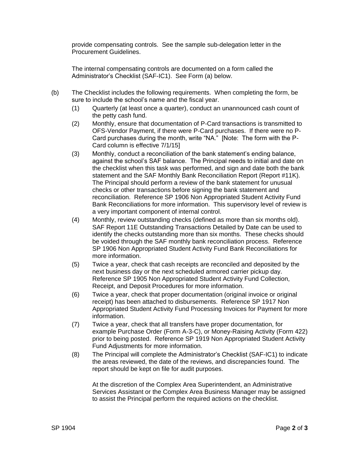provide compensating controls. See the sample sub-delegation letter in the Procurement Guidelines.

The internal compensating controls are documented on a form called the Administrator's Checklist (SAF-IC1). See Form (a) below.

- (b) The Checklist includes the following requirements. When completing the form, be sure to include the school's name and the fiscal year.
	- (1) Quarterly (at least once a quarter), conduct an unannounced cash count of the petty cash fund.
	- (2) Monthly, ensure that documentation of P-Card transactions is transmitted to OFS-Vendor Payment, if there were P-Card purchases. If there were no P-Card purchases during the month, write "NA." [Note: The form with the P-Card column is effective 7/1/15]
	- (3) Monthly, conduct a reconciliation of the bank statement's ending balance, against the school's SAF balance. The Principal needs to initial and date on the checklist when this task was performed, and sign and date both the bank statement and the SAF Monthly Bank Reconciliation Report (Report #11K). The Principal should perform a review of the bank statement for unusual checks or other transactions before signing the bank statement and reconciliation. Reference SP 1906 Non Appropriated Student Activity Fund Bank Reconciliations for more information. This supervisory level of review is a very important component of internal control.
	- (4) Monthly, review outstanding checks (defined as more than six months old). SAF Report 11E Outstanding Transactions Detailed by Date can be used to identify the checks outstanding more than six months. These checks should be voided through the SAF monthly bank reconciliation process. Reference SP 1906 Non Appropriated Student Activity Fund Bank Reconciliations for more information.
	- (5) Twice a year, check that cash receipts are reconciled and deposited by the next business day or the next scheduled armored carrier pickup day. Reference SP 1905 Non Appropriated Student Activity Fund Collection, Receipt, and Deposit Procedures for more information.
	- (6) Twice a year, check that proper documentation (original invoice or original receipt) has been attached to disbursements. Reference SP 1917 Non Appropriated Student Activity Fund Processing Invoices for Payment for more information.
	- (7) Twice a year, check that all transfers have proper documentation, for example Purchase Order (Form A-3-C), or Money-Raising Activity (Form 422) prior to being posted. Reference SP 1919 Non Appropriated Student Activity Fund Adjustments for more information.
	- (8) The Principal will complete the Administrator's Checklist (SAF-IC1) to indicate the areas reviewed, the date of the reviews, and discrepancies found. The report should be kept on file for audit purposes.

At the discretion of the Complex Area Superintendent, an Administrative Services Assistant or the Complex Area Business Manager may be assigned to assist the Principal perform the required actions on the checklist.